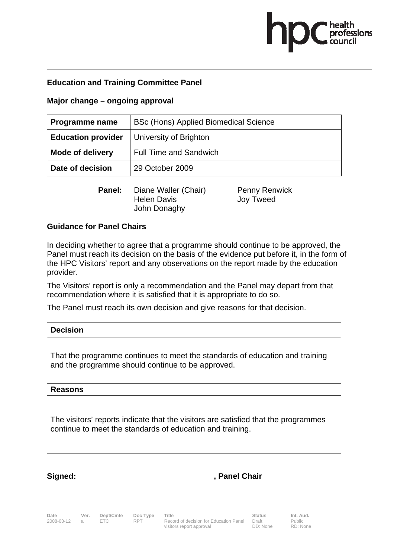# health<br>professions

# **Education and Training Committee Panel**

## **Major change – ongoing approval**

| <b>Programme name</b>     | BSc (Hons) Applied Biomedical Science |
|---------------------------|---------------------------------------|
| <b>Education provider</b> | University of Brighton                |
| <b>Mode of delivery</b>   | <b>Full Time and Sandwich</b>         |
| Date of decision          | 29 October 2009                       |

**Panel:** Diane Waller (Chair) Penny Renwick Helen Davis **Joy Tweed** John Donaghy

## **Guidance for Panel Chairs**

In deciding whether to agree that a programme should continue to be approved, the Panel must reach its decision on the basis of the evidence put before it, in the form of the HPC Visitors' report and any observations on the report made by the education provider.

The Visitors' report is only a recommendation and the Panel may depart from that recommendation where it is satisfied that it is appropriate to do so.

The Panel must reach its own decision and give reasons for that decision.

| <b>Decision</b>                                                                                                                   |
|-----------------------------------------------------------------------------------------------------------------------------------|
| That the programme continues to meet the standards of education and training<br>and the programme should continue to be approved. |
| <b>Reasons</b>                                                                                                                    |

The visitors' reports indicate that the visitors are satisfied that the programmes continue to meet the standards of education and training.

# Signed: **Signed:** , Panel Chair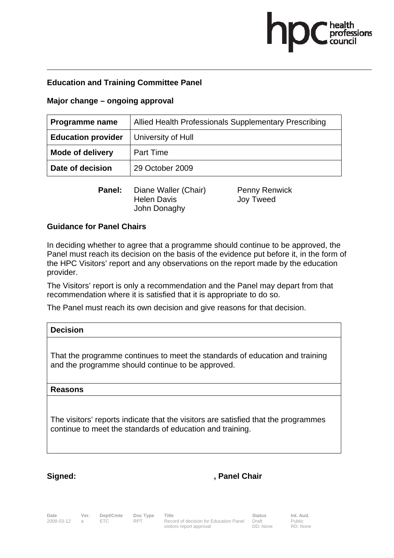# health<br>professions

# **Education and Training Committee Panel**

### **Major change – ongoing approval**

| <b>Programme name</b>     | Allied Health Professionals Supplementary Prescribing |
|---------------------------|-------------------------------------------------------|
| <b>Education provider</b> | University of Hull                                    |
| <b>Mode of delivery</b>   | <b>Part Time</b>                                      |
| Date of decision          | 29 October 2009                                       |

**Panel:** Diane Waller (Chair) Penny Renwick Helen Davis **Joy Tweed** John Donaghy

### **Guidance for Panel Chairs**

In deciding whether to agree that a programme should continue to be approved, the Panel must reach its decision on the basis of the evidence put before it, in the form of the HPC Visitors' report and any observations on the report made by the education provider.

The Visitors' report is only a recommendation and the Panel may depart from that recommendation where it is satisfied that it is appropriate to do so.

The Panel must reach its own decision and give reasons for that decision.

| <b>Decision</b>                                                                                                                   |
|-----------------------------------------------------------------------------------------------------------------------------------|
| That the programme continues to meet the standards of education and training<br>and the programme should continue to be approved. |
| <b>Reasons</b>                                                                                                                    |

The visitors' reports indicate that the visitors are satisfied that the programmes continue to meet the standards of education and training.

# Signed: **Signed:** , Panel Chair

**Date Ver. Dept/Cmte Doc Type Title Status Status Int. Aud.**<br>2008-03-12 a ETC RPT Record of decision for Education Panel Draft Public Record of decision for Education Panel visitors report approval